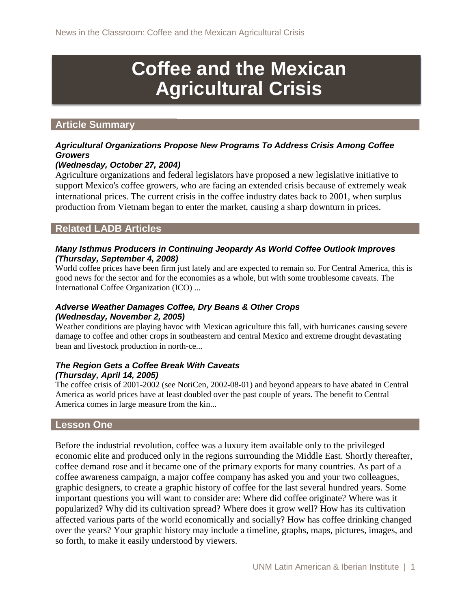# **Coffee and the Mexican Agricultural Crisis**

#### **Article Summary**

#### *Agricultural Organizations Propose New Programs To Address Crisis Among Coffee Growers*

#### *(Wednesday, October 27, 2004)*

Agriculture organizations and federal legislators have proposed a new legislative initiative to support Mexico's coffee growers, who are facing an extended crisis because of extremely weak international prices. The current crisis in the coffee industry dates back to 2001, when surplus production from Vietnam began to enter the market, causing a sharp downturn in prices.

## **Related LADB Articles**

#### *Many Isthmus Producers in Continuing Jeopardy As World Coffee Outlook Improves (Thursday, September 4, 2008)*

World coffee prices have been firm just lately and are expected to remain so. For Central America, this is good news for the sector and for the economies as a whole, but with some troublesome caveats. The International Coffee Organization (ICO) ...

#### *Adverse Weather Damages Coffee, Dry Beans & Other Crops (Wednesday, November 2, 2005)*

Weather conditions are playing havoc with Mexican agriculture this fall, with hurricanes causing severe damage to coffee and other crops in southeastern and central Mexico and extreme drought devastating bean and livestock production in north-ce...

#### *The Region Gets a Coffee Break With Caveats (Thursday, April 14, 2005)*

The coffee crisis of 2001-2002 (see NotiCen, 2002-08-01) and beyond appears to have abated in Central America as world prices have at least doubled over the past couple of years. The benefit to Central America comes in large measure from the kin...

#### **Lesson One**

Before the industrial revolution, coffee was a luxury item available only to the privileged economic elite and produced only in the regions surrounding the Middle East. Shortly thereafter, coffee demand rose and it became one of the primary exports for many countries. As part of a coffee awareness campaign, a major coffee company has asked you and your two colleagues, graphic designers, to create a graphic history of coffee for the last several hundred years. Some important questions you will want to consider are: Where did coffee originate? Where was it popularized? Why did its cultivation spread? Where does it grow well? How has its cultivation affected various parts of the world economically and socially? How has coffee drinking changed over the years? Your graphic history may include a timeline, graphs, maps, pictures, images, and so forth, to make it easily understood by viewers.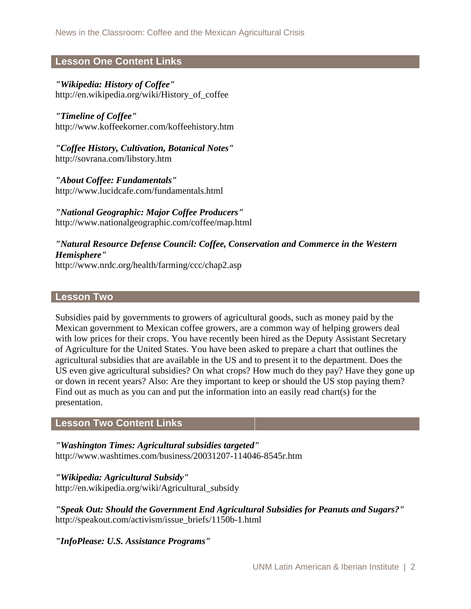## **Lesson One Content Links**

## *"Wikipedia: History of Coffee"*

http://en.wikipedia.org/wiki/History\_of\_coffee

*"Timeline of Coffee"* http://www.koffeekorner.com/koffeehistory.htm

*"Coffee History, Cultivation, Botanical Notes"* http://sovrana.com/libstory.htm

*"About Coffee: Fundamentals"* http://www.lucidcafe.com/fundamentals.html

*"National Geographic: Major Coffee Producers"*  http://www.nationalgeographic.com/coffee/map.html

## *"Natural Resource Defense Council: Coffee, Conservation and Commerce in the Western Hemisphere"*

http://www.nrdc.org/health/farming/ccc/chap2.asp

#### **Lesson Two**

Subsidies paid by governments to growers of agricultural goods, such as money paid by the Mexican government to Mexican coffee growers, are a common way of helping growers deal with low prices for their crops. You have recently been hired as the Deputy Assistant Secretary of Agriculture for the United States. You have been asked to prepare a chart that outlines the agricultural subsidies that are available in the US and to present it to the department. Does the US even give agricultural subsidies? On what crops? How much do they pay? Have they gone up or down in recent years? Also: Are they important to keep or should the US stop paying them? Find out as much as you can and put the information into an easily read chart(s) for the presentation.

#### **Lesson Two Content Links**

*"Washington Times: Agricultural subsidies targeted"*  http://www.washtimes.com/business/20031207-114046-8545r.htm

*"Wikipedia: Agricultural Subsidy"* http://en.wikipedia.org/wiki/Agricultural\_subsidy

*"Speak Out: Should the Government End Agricultural Subsidies for Peanuts and Sugars?"* http://speakout.com/activism/issue\_briefs/1150b-1.html

*"InfoPlease: U.S. Assistance Programs"*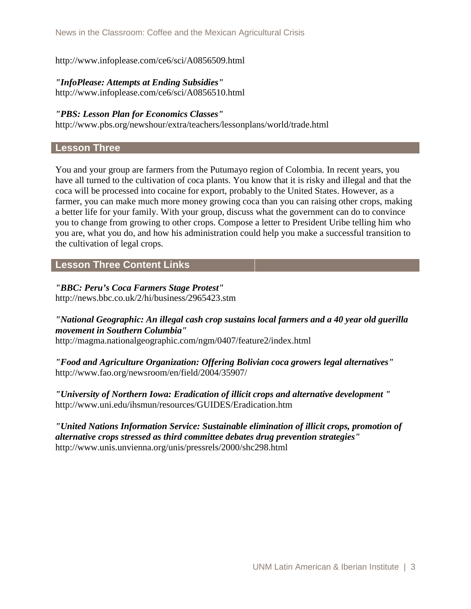http://www.infoplease.com/ce6/sci/A0856509.html

#### *"InfoPlease: Attempts at Ending Subsidies"* http://www.infoplease.com/ce6/sci/A0856510.html

*"PBS: Lesson Plan for Economics Classes"* 

http://www.pbs.org/newshour/extra/teachers/lessonplans/world/trade.html

## **Lesson Three**

You and your group are farmers from the Putumayo region of Colombia. In recent years, you have all turned to the cultivation of coca plants. You know that it is risky and illegal and that the coca will be processed into cocaine for export, probably to the United States. However, as a farmer, you can make much more money growing coca than you can raising other crops, making a better life for your family. With your group, discuss what the government can do to convince you to change from growing to other crops. Compose a letter to President Uribe telling him who you are, what you do, and how his administration could help you make a successful transition to the cultivation of legal crops.

## **Lesson Three Content Links**

#### *"BBC: Peru's Coca Farmers Stage Protest"*

http://news.bbc.co.uk/2/hi/business/2965423.stm

## *"National Geographic: An illegal cash crop sustains local farmers and a 40 year old guerilla movement in Southern Columbia"*

http://magma.nationalgeographic.com/ngm/0407/feature2/index.html

*"Food and Agriculture Organization: Offering Bolivian coca growers legal alternatives"* http://www.fao.org/newsroom/en/field/2004/35907/

*"University of Northern Iowa: Eradication of illicit crops and alternative development "* http://www.uni.edu/ihsmun/resources/GUIDES/Eradication.htm

*"United Nations Information Service: Sustainable elimination of illicit crops, promotion of alternative crops stressed as third committee debates drug prevention strategies"*  http://www.unis.unvienna.org/unis/pressrels/2000/shc298.html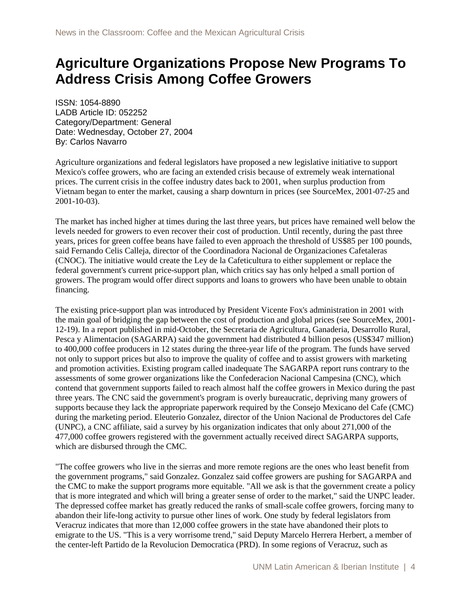## **Agriculture Organizations Propose New Programs To Address Crisis Among Coffee Growers**

ISSN: 1054-8890 LADB Article ID: 052252 Category/Department: General Date: Wednesday, October 27, 2004 By: Carlos Navarro

Agriculture organizations and federal legislators have proposed a new legislative initiative to support Mexico's coffee growers, who are facing an extended crisis because of extremely weak international prices. The current crisis in the coffee industry dates back to 2001, when surplus production from Vietnam began to enter the market, causing a sharp downturn in prices (see SourceMex, 2001-07-25 and 2001-10-03).

The market has inched higher at times during the last three years, but prices have remained well below the levels needed for growers to even recover their cost of production. Until recently, during the past three years, prices for green coffee beans have failed to even approach the threshold of US\$85 per 100 pounds, said Fernando Celis Calleja, director of the Coordinadora Nacional de Organizaciones Cafetaleras (CNOC). The initiative would create the Ley de la Cafeticultura to either supplement or replace the federal government's current price-support plan, which critics say has only helped a small portion of growers. The program would offer direct supports and loans to growers who have been unable to obtain financing.

The existing price-support plan was introduced by President Vicente Fox's administration in 2001 with the main goal of bridging the gap between the cost of production and global prices (see SourceMex, 2001- 12-19). In a report published in mid-October, the Secretaria de Agricultura, Ganaderia, Desarrollo Rural, Pesca y Alimentacion (SAGARPA) said the government had distributed 4 billion pesos (US\$347 million) to 400,000 coffee producers in 12 states during the three-year life of the program. The funds have served not only to support prices but also to improve the quality of coffee and to assist growers with marketing and promotion activities. Existing program called inadequate The SAGARPA report runs contrary to the assessments of some grower organizations like the Confederacion Nacional Campesina (CNC), which contend that government supports failed to reach almost half the coffee growers in Mexico during the past three years. The CNC said the government's program is overly bureaucratic, depriving many growers of supports because they lack the appropriate paperwork required by the Consejo Mexicano del Cafe (CMC) during the marketing period. Eleuterio Gonzalez, director of the Union Nacional de Productores del Cafe (UNPC), a CNC affiliate, said a survey by his organization indicates that only about 271,000 of the 477,000 coffee growers registered with the government actually received direct SAGARPA supports, which are disbursed through the CMC.

"The coffee growers who live in the sierras and more remote regions are the ones who least benefit from the government programs," said Gonzalez. Gonzalez said coffee growers are pushing for SAGARPA and the CMC to make the support programs more equitable. "All we ask is that the government create a policy that is more integrated and which will bring a greater sense of order to the market," said the UNPC leader. The depressed coffee market has greatly reduced the ranks of small-scale coffee growers, forcing many to abandon their life-long activity to pursue other lines of work. One study by federal legislators from Veracruz indicates that more than 12,000 coffee growers in the state have abandoned their plots to emigrate to the US. "This is a very worrisome trend," said Deputy Marcelo Herrera Herbert, a member of the center-left Partido de la Revolucion Democratica (PRD). In some regions of Veracruz, such as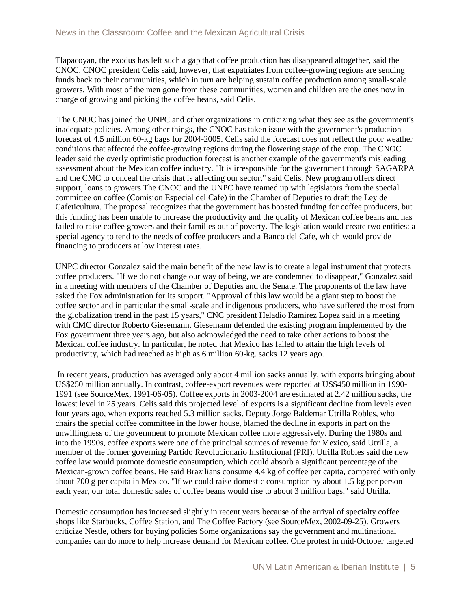Tlapacoyan, the exodus has left such a gap that coffee production has disappeared altogether, said the CNOC. CNOC president Celis said, however, that expatriates from coffee-growing regions are sending funds back to their communities, which in turn are helping sustain coffee production among small-scale growers. With most of the men gone from these communities, women and children are the ones now in charge of growing and picking the coffee beans, said Celis.

The CNOC has joined the UNPC and other organizations in criticizing what they see as the government's inadequate policies. Among other things, the CNOC has taken issue with the government's production forecast of 4.5 million 60-kg bags for 2004-2005. Celis said the forecast does not reflect the poor weather conditions that affected the coffee-growing regions during the flowering stage of the crop. The CNOC leader said the overly optimistic production forecast is another example of the government's misleading assessment about the Mexican coffee industry. "It is irresponsible for the government through SAGARPA and the CMC to conceal the crisis that is affecting our sector," said Celis. New program offers direct support, loans to growers The CNOC and the UNPC have teamed up with legislators from the special committee on coffee (Comision Especial del Cafe) in the Chamber of Deputies to draft the Ley de Cafeticultura. The proposal recognizes that the government has boosted funding for coffee producers, but this funding has been unable to increase the productivity and the quality of Mexican coffee beans and has failed to raise coffee growers and their families out of poverty. The legislation would create two entities: a special agency to tend to the needs of coffee producers and a Banco del Cafe, which would provide financing to producers at low interest rates.

UNPC director Gonzalez said the main benefit of the new law is to create a legal instrument that protects coffee producers. "If we do not change our way of being, we are condemned to disappear," Gonzalez said in a meeting with members of the Chamber of Deputies and the Senate. The proponents of the law have asked the Fox administration for its support. "Approval of this law would be a giant step to boost the coffee sector and in particular the small-scale and indigenous producers, who have suffered the most from the globalization trend in the past 15 years," CNC president Heladio Ramirez Lopez said in a meeting with CMC director Roberto Giesemann. Giesemann defended the existing program implemented by the Fox government three years ago, but also acknowledged the need to take other actions to boost the Mexican coffee industry. In particular, he noted that Mexico has failed to attain the high levels of productivity, which had reached as high as 6 million 60-kg. sacks 12 years ago.

In recent years, production has averaged only about 4 million sacks annually, with exports bringing about US\$250 million annually. In contrast, coffee-export revenues were reported at US\$450 million in 1990- 1991 (see SourceMex, 1991-06-05). Coffee exports in 2003-2004 are estimated at 2.42 million sacks, the lowest level in 25 years. Celis said this projected level of exports is a significant decline from levels even four years ago, when exports reached 5.3 million sacks. Deputy Jorge Baldemar Utrilla Robles, who chairs the special coffee committee in the lower house, blamed the decline in exports in part on the unwillingness of the government to promote Mexican coffee more aggressively. During the 1980s and into the 1990s, coffee exports were one of the principal sources of revenue for Mexico, said Utrilla, a member of the former governing Partido Revolucionario Institucional (PRI). Utrilla Robles said the new coffee law would promote domestic consumption, which could absorb a significant percentage of the Mexican-grown coffee beans. He said Brazilians consume 4.4 kg of coffee per capita, compared with only about 700 g per capita in Mexico. "If we could raise domestic consumption by about 1.5 kg per person each year, our total domestic sales of coffee beans would rise to about 3 million bags," said Utrilla.

Domestic consumption has increased slightly in recent years because of the arrival of specialty coffee shops like Starbucks, Coffee Station, and The Coffee Factory (see SourceMex, 2002-09-25). Growers criticize Nestle, others for buying policies Some organizations say the government and multinational companies can do more to help increase demand for Mexican coffee. One protest in mid-October targeted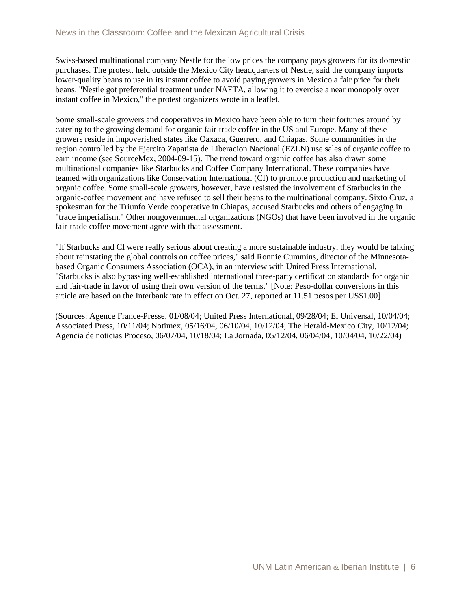Swiss-based multinational company Nestle for the low prices the company pays growers for its domestic purchases. The protest, held outside the Mexico City headquarters of Nestle, said the company imports lower-quality beans to use in its instant coffee to avoid paying growers in Mexico a fair price for their beans. "Nestle got preferential treatment under NAFTA, allowing it to exercise a near monopoly over instant coffee in Mexico," the protest organizers wrote in a leaflet.

Some small-scale growers and cooperatives in Mexico have been able to turn their fortunes around by catering to the growing demand for organic fair-trade coffee in the US and Europe. Many of these growers reside in impoverished states like Oaxaca, Guerrero, and Chiapas. Some communities in the region controlled by the Ejercito Zapatista de Liberacion Nacional (EZLN) use sales of organic coffee to earn income (see SourceMex, 2004-09-15). The trend toward organic coffee has also drawn some multinational companies like Starbucks and Coffee Company International. These companies have teamed with organizations like Conservation International (CI) to promote production and marketing of organic coffee. Some small-scale growers, however, have resisted the involvement of Starbucks in the organic-coffee movement and have refused to sell their beans to the multinational company. Sixto Cruz, a spokesman for the Triunfo Verde cooperative in Chiapas, accused Starbucks and others of engaging in "trade imperialism." Other nongovernmental organizations (NGOs) that have been involved in the organic fair-trade coffee movement agree with that assessment.

"If Starbucks and CI were really serious about creating a more sustainable industry, they would be talking about reinstating the global controls on coffee prices," said Ronnie Cummins, director of the Minnesotabased Organic Consumers Association (OCA), in an interview with United Press International. "Starbucks is also bypassing well-established international three-party certification standards for organic and fair-trade in favor of using their own version of the terms." [Note: Peso-dollar conversions in this article are based on the Interbank rate in effect on Oct. 27, reported at 11.51 pesos per US\$1.00]

(Sources: Agence France-Presse, 01/08/04; United Press International, 09/28/04; El Universal, 10/04/04; Associated Press, 10/11/04; Notimex, 05/16/04, 06/10/04, 10/12/04; The Herald-Mexico City, 10/12/04; Agencia de noticias Proceso, 06/07/04, 10/18/04; La Jornada, 05/12/04, 06/04/04, 10/04/04, 10/22/04)